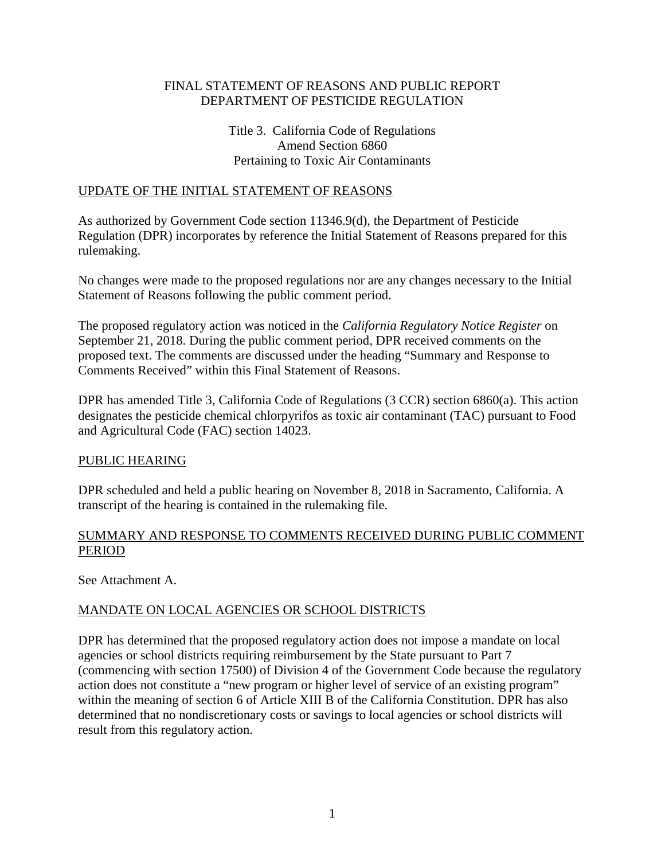## FINAL STATEMENT OF REASONS AND PUBLIC REPORT DEPARTMENT OF PESTICIDE REGULATION

## Title 3. California Code of Regulations Amend Section 6860 Pertaining to Toxic Air Contaminants

#### UPDATE OF THE INITIAL STATEMENT OF REASONS

As authorized by Government Code section 11346.9(d), the Department of Pesticide Regulation (DPR) incorporates by reference the Initial Statement of Reasons prepared for this rulemaking.

No changes were made to the proposed regulations nor are any changes necessary to the Initial Statement of Reasons following the public comment period.

The proposed regulatory action was noticed in the *California Regulatory Notice Register* on September 21, 2018. During the public comment period, DPR received comments on the proposed text. The comments are discussed under the heading "Summary and Response to Comments Received" within this Final Statement of Reasons.

DPR has amended Title 3, California Code of Regulations (3 CCR) section 6860(a). This action designates the pesticide chemical chlorpyrifos as toxic air contaminant (TAC) pursuant to Food and Agricultural Code (FAC) section 14023.

#### PUBLIC HEARING

DPR scheduled and held a public hearing on November 8, 2018 in Sacramento, California. A transcript of the hearing is contained in the rulemaking file.

## SUMMARY AND RESPONSE TO COMMENTS RECEIVED DURING PUBLIC COMMENT PERIOD

See Attachment A.

### MANDATE ON LOCAL AGENCIES OR SCHOOL DISTRICTS

DPR has determined that the proposed regulatory action does not impose a mandate on local agencies or school districts requiring reimbursement by the State pursuant to Part 7 (commencing with section 17500) of Division 4 of the Government Code because the regulatory action does not constitute a "new program or higher level of service of an existing program" within the meaning of section 6 of Article XIII B of the California Constitution. DPR has also determined that no nondiscretionary costs or savings to local agencies or school districts will result from this regulatory action.